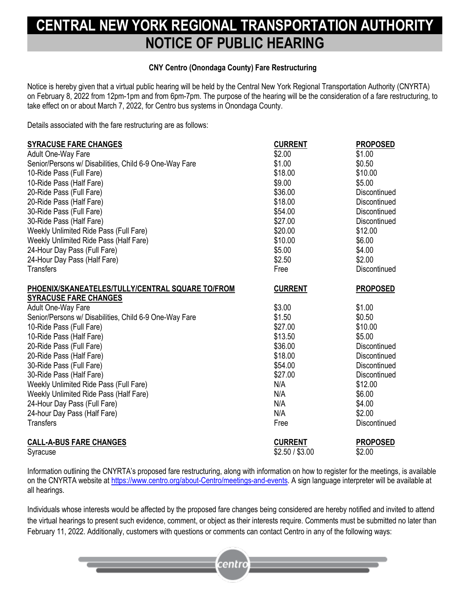## **NEW YORK REGIONAL TRANSPORTATION AUTHORITY NOTICE OF PUBLIC HEARING**

## **CNY Centro (Onondaga County) Fare Restructuring**

Notice is hereby given that a virtual public hearing will be held by the Central New York Regional Transportation Authority (CNYRTA) on February 8, 2022 from 12pm-1pm and from 6pm-7pm. The purpose of the hearing will be the consideration of a fare restructuring, to take effect on or about March 7, 2022, for Centro bus systems in Onondaga County.

Details associated with the fare restructuring are as follows:

| <b>SYRACUSE FARE CHANGES</b>                           | <b>CURRENT</b>  | <b>PROPOSED</b> |
|--------------------------------------------------------|-----------------|-----------------|
| Adult One-Way Fare                                     | \$2.00          | \$1.00          |
| Senior/Persons w/ Disabilities, Child 6-9 One-Way Fare | \$1.00          | \$0.50          |
| 10-Ride Pass (Full Fare)                               | \$18.00         | \$10.00         |
| 10-Ride Pass (Half Fare)                               | \$9.00          | \$5.00          |
| 20-Ride Pass (Full Fare)                               | \$36.00         | Discontinued    |
| 20-Ride Pass (Half Fare)                               | \$18.00         | Discontinued    |
| 30-Ride Pass (Full Fare)                               | \$54.00         | Discontinued    |
| 30-Ride Pass (Half Fare)                               | \$27.00         | Discontinued    |
| Weekly Unlimited Ride Pass (Full Fare)                 | \$20.00         | \$12.00         |
| Weekly Unlimited Ride Pass (Half Fare)                 | \$10.00         | \$6.00          |
| 24-Hour Day Pass (Full Fare)                           | \$5.00          | \$4.00          |
| 24-Hour Day Pass (Half Fare)                           | \$2.50          | \$2.00          |
| <b>Transfers</b>                                       | Free            | Discontinued    |
| PHOENIX/SKANEATELES/TULLY/CENTRAL SQUARE TO/FROM       | <b>CURRENT</b>  | <b>PROPOSED</b> |
| <b>SYRACUSE FARE CHANGES</b>                           |                 |                 |
| Adult One-Way Fare                                     | \$3.00          | \$1.00          |
| Senior/Persons w/ Disabilities, Child 6-9 One-Way Fare | \$1.50          | \$0.50          |
| 10-Ride Pass (Full Fare)                               | \$27.00         | \$10.00         |
| 10-Ride Pass (Half Fare)                               | \$13.50         | \$5.00          |
| 20-Ride Pass (Full Fare)                               | \$36.00         | Discontinued    |
| 20-Ride Pass (Half Fare)                               | \$18.00         | Discontinued    |
| 30-Ride Pass (Full Fare)                               | \$54.00         | Discontinued    |
| 30-Ride Pass (Half Fare)                               | \$27.00         | Discontinued    |
| Weekly Unlimited Ride Pass (Full Fare)                 | N/A             | \$12.00         |
| Weekly Unlimited Ride Pass (Half Fare)                 | N/A             | \$6.00          |
| 24-Hour Day Pass (Full Fare)                           | N/A             | \$4.00          |
| 24-hour Day Pass (Half Fare)                           | N/A             | \$2.00          |
| <b>Transfers</b>                                       | Free            | Discontinued    |
| <b>CALL-A-BUS FARE CHANGES</b>                         | <b>CURRENT</b>  | <b>PROPOSED</b> |
| Syracuse                                               | \$2.50 / \$3.00 | \$2.00          |

Information outlining the CNYRTA's proposed fare restructuring, along with information on how to register for the meetings, is available on the CNYRTA website at [https://www.centro.org/about-Centro/meetings-and-events.](https://www.centro.org/about-Centro/meetings-and-events) A sign language interpreter will be available at all hearings.

Individuals whose interests would be affected by the proposed fare changes being considered are hereby notified and invited to attend the virtual hearings to present such evidence, comment, or object as their interests require. Comments must be submitted no later than February 11, 2022. Additionally, customers with questions or comments can contact Centro in any of the following ways:

centro